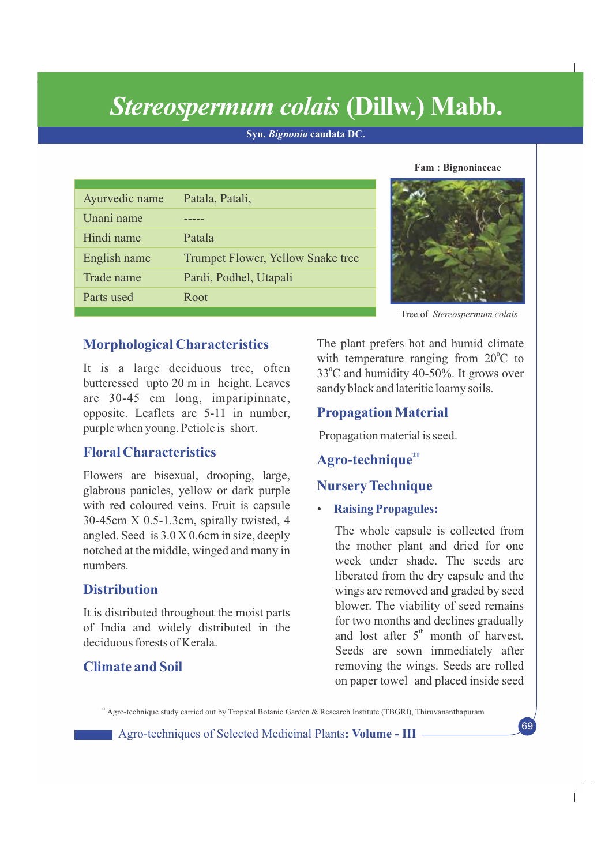# *Stereospermum colais* **(Dillw.) Mabb.**

**Syn.** *Bignonia* **caudata DC.**

| Ayurvedic name | Patala, Patali,                          |
|----------------|------------------------------------------|
| Unani name     |                                          |
| Hindi name     | Patala                                   |
| English name   | <b>Trumpet Flower, Yellow Snake tree</b> |
| Trade name     | Pardi, Podhel, Utapali                   |
| Parts used     | Root                                     |





Tree of *Stereospermum colais*

# **Morphological Characteristics**

It is a large deciduous tree, often butteressed upto 20 m in height. Leaves are 30-45 cm long, imparipinnate, opposite. Leaflets are 5-11 in number, purple when young. Petiole is short.

## **Floral Characteristics**

Flowers are bisexual, drooping, large, glabrous panicles, yellow or dark purple with red coloured veins. Fruit is capsule 30-45cm X 0.5-1.3cm, spirally twisted, 4 angled. Seed is 3.0 X 0.6cm in size, deeply notched at the middle, winged and many in numbers.

# **Distribution**

It is distributed throughout the moist parts of India and widely distributed in the deciduous forests of Kerala.

# **Climate and Soil**

The plant prefers hot and humid climate with temperature ranging from  $20^{\circ}$ C to  $33^{\circ}$ C and humidity 40-50%. It grows over sandy black and lateritic loamy soils.

# **Propagation Material**

Propagation material is seed.

# **<sup>21</sup> Agro-technique**

# **Nursery Technique**

**Raising Propagules:** 

The whole capsule is collected from the mother plant and dried for one week under shade. The seeds are liberated from the dry capsule and the wings are removed and graded by seed blower. The viability of seed remains for two months and declines gradually and lost after  $5<sup>th</sup>$  month of harvest. Seeds are sown immediately after removing the wings. Seeds are rolled on paper towel and placed inside seed

69

 $\overline{\phantom{a}}$ 

<sup>21</sup> Agro-technique study carried out by Tropical Botanic Garden & Research Institute (TBGRI), Thiruvananthapuram

Agro-techniques of Selected Medicinal Plants**: Volume - III**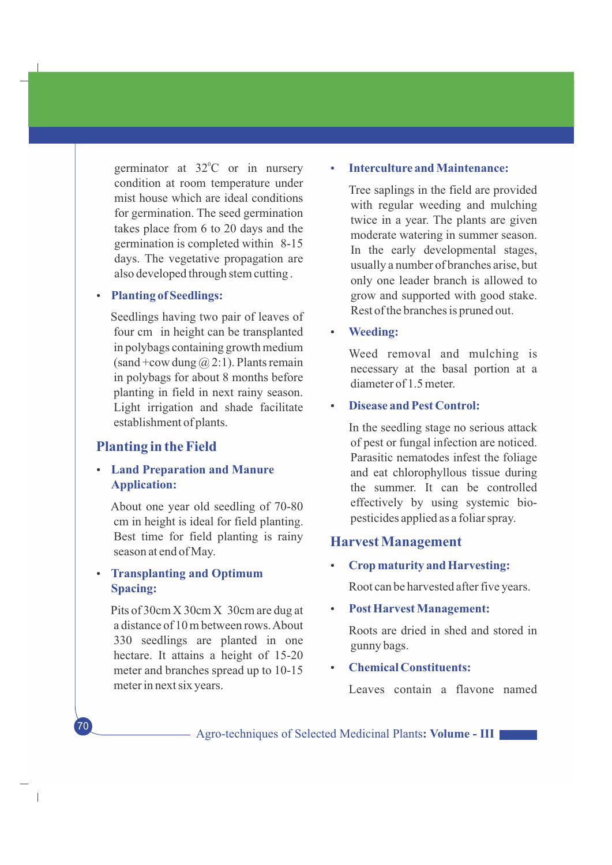germinator at  $32^{\circ}$ C or in nursery condition at room temperature under mist house which are ideal conditions for germination. The seed germination takes place from 6 to 20 days and the germination is completed within 8-15 days. The vegetative propagation are also developed through stem cutting .

#### **Planting of Seedlings:**

Seedlings having two pair of leaves of four cm in height can be transplanted in polybags containing growth medium (sand +cow dung  $\omega(2:1)$ ). Plants remain in polybags for about 8 months before planting in field in next rainy season. Light irrigation and shade facilitate establishment of plants.

#### **Planting in the Field**

#### **• Land Preparation and Manure Application:**

About one year old seedling of 70-80 cm in height is ideal for field planting. Best time for field planting is rainy season at end of May.

## **Transplanting and Optimum Spacing:**

70

 $\overline{\phantom{a}}$ 

Pits of 30cm X 30cm X 30cm are dug at a distance of 10 m between rows. About 330 seedlings are planted in one hectare. It attains a height of 15-20 meter and branches spread up to 10-15 meter in next six years.

#### **Interculture and Maintenance:**

Tree saplings in the field are provided with regular weeding and mulching twice in a year. The plants are given moderate watering in summer season. In the early developmental stages, usually a number of branches arise, but only one leader branch is allowed to grow and supported with good stake. Rest of the branches is pruned out.

**Weeding:** 

Weed removal and mulching is necessary at the basal portion at a diameter of 1.5 meter.

#### **Disease and Pest Control:**

In the seedling stage no serious attack of pest or fungal infection are noticed. Parasitic nematodes infest the foliage and eat chlorophyllous tissue during the summer. It can be controlled effectively by using systemic biopesticides applied as a foliar spray.

#### **Harvest Management**

Ÿ **Crop maturity and Harvesting:**

Root can be harvested after five years.

**Post Harvest Management:** 

Roots are dried in shed and stored in gunny bags.

#### **Chemical Constituents:**

Leaves contain a flavone named

Agro-techniques of Selected Medicinal Plants**: Volume - III**